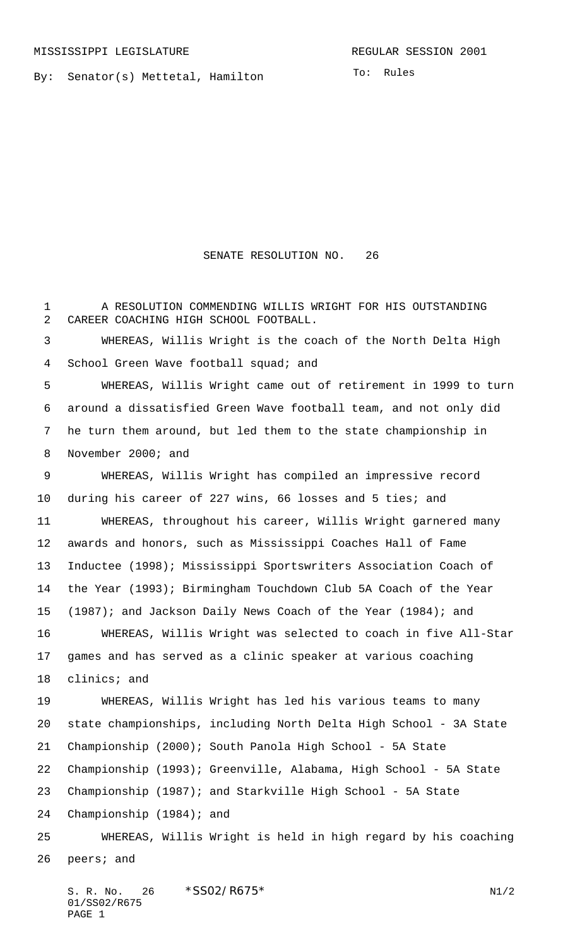By: Senator(s) Mettetal, Hamilton

To: Rules

## SENATE RESOLUTION NO. 26

 A RESOLUTION COMMENDING WILLIS WRIGHT FOR HIS OUTSTANDING CAREER COACHING HIGH SCHOOL FOOTBALL. WHEREAS, Willis Wright is the coach of the North Delta High 4 School Green Wave football squad; and WHEREAS, Willis Wright came out of retirement in 1999 to turn around a dissatisfied Green Wave football team, and not only did he turn them around, but led them to the state championship in November 2000; and WHEREAS, Willis Wright has compiled an impressive record during his career of 227 wins, 66 losses and 5 ties; and WHEREAS, throughout his career, Willis Wright garnered many awards and honors, such as Mississippi Coaches Hall of Fame Inductee (1998); Mississippi Sportswriters Association Coach of the Year (1993); Birmingham Touchdown Club 5A Coach of the Year (1987); and Jackson Daily News Coach of the Year (1984); and WHEREAS, Willis Wright was selected to coach in five All-Star games and has served as a clinic speaker at various coaching clinics; and WHEREAS, Willis Wright has led his various teams to many state championships, including North Delta High School - 3A State Championship (2000); South Panola High School - 5A State Championship (1993); Greenville, Alabama, High School - 5A State Championship (1987); and Starkville High School - 5A State Championship (1984); and WHEREAS, Willis Wright is held in high regard by his coaching peers; and

S. R. No. 26  $*SS02/RO75*$  N1/2 01/SS02/R675 PAGE 1